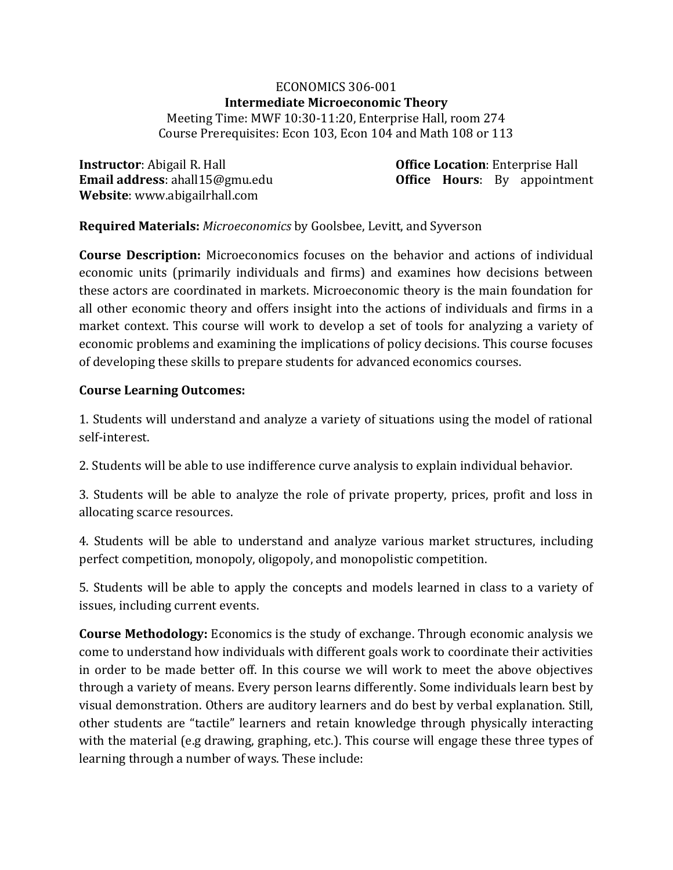# ECONOMICS 306-001 **Intermediate Microeconomic Theory**

Meeting Time: MWF 10:30-11:20, Enterprise Hall, room 274 Course Prerequisites: Econ 103, Econ 104 and Math 108 or 113

**Instructor**: Abigail R. Hall **Office Location**: Enterprise Hall **Website**: www.abigailrhall.com

**Email address**: ahall15@gmu.edu **Office Hours**: By appointment

# **Required Materials:** *Microeconomics* by Goolsbee, Levitt, and Syverson

**Course Description:** Microeconomics focuses on the behavior and actions of individual economic units (primarily individuals and firms) and examines how decisions between these actors are coordinated in markets. Microeconomic theory is the main foundation for all other economic theory and offers insight into the actions of individuals and firms in a market context. This course will work to develop a set of tools for analyzing a variety of economic problems and examining the implications of policy decisions. This course focuses of developing these skills to prepare students for advanced economics courses.

### **Course Learning Outcomes:**

1. Students will understand and analyze a variety of situations using the model of rational self-interest.

2. Students will be able to use indifference curve analysis to explain individual behavior.

3. Students will be able to analyze the role of private property, prices, profit and loss in allocating scarce resources.

4. Students will be able to understand and analyze various market structures, including perfect competition, monopoly, oligopoly, and monopolistic competition.

5. Students will be able to apply the concepts and models learned in class to a variety of issues, including current events.

**Course Methodology:** Economics is the study of exchange. Through economic analysis we come to understand how individuals with different goals work to coordinate their activities in order to be made better off. In this course we will work to meet the above objectives through a variety of means. Every person learns differently. Some individuals learn best by visual demonstration. Others are auditory learners and do best by verbal explanation. Still, other students are "tactile" learners and retain knowledge through physically interacting with the material (e.g drawing, graphing, etc.). This course will engage these three types of learning through a number of ways. These include: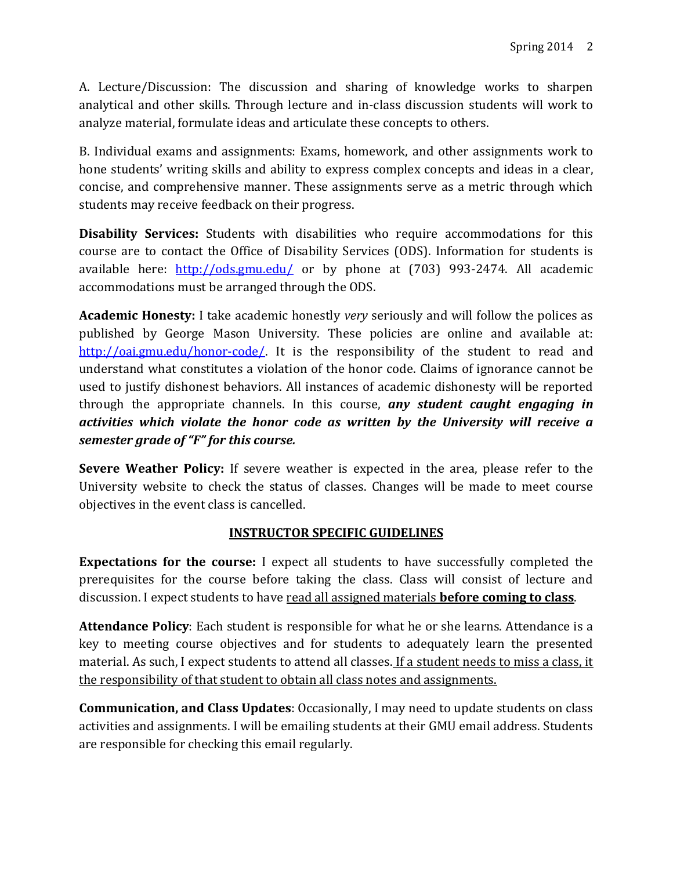A. Lecture/Discussion: The discussion and sharing of knowledge works to sharpen analytical and other skills. Through lecture and in-class discussion students will work to analyze material, formulate ideas and articulate these concepts to others.

B. Individual exams and assignments: Exams, homework, and other assignments work to hone students' writing skills and ability to express complex concepts and ideas in a clear, concise, and comprehensive manner. These assignments serve as a metric through which students may receive feedback on their progress.

**Disability Services:** Students with disabilities who require accommodations for this course are to contact the Office of Disability Services (ODS). Information for students is available here: <http://ods.gmu.edu/> or by phone at (703) 993-2474. All academic accommodations must be arranged through the ODS.

**Academic Honesty:** I take academic honestly *very* seriously and will follow the polices as published by George Mason University. These policies are online and available at: [http://oai.gmu.edu/honor-code/.](http://oai.gmu.edu/honor-code/) It is the responsibility of the student to read and understand what constitutes a violation of the honor code. Claims of ignorance cannot be used to justify dishonest behaviors. All instances of academic dishonesty will be reported through the appropriate channels. In this course, *any student caught engaging in activities which violate the honor code as written by the University will receive a semester grade of "F" for this course.*

**Severe Weather Policy:** If severe weather is expected in the area, please refer to the University website to check the status of classes. Changes will be made to meet course objectives in the event class is cancelled.

# **INSTRUCTOR SPECIFIC GUIDELINES**

**Expectations for the course:** I expect all students to have successfully completed the prerequisites for the course before taking the class. Class will consist of lecture and discussion. I expect students to have read all assigned materials **before coming to class**.

**Attendance Policy**: Each student is responsible for what he or she learns. Attendance is a key to meeting course objectives and for students to adequately learn the presented material. As such, I expect students to attend all classes. If a student needs to miss a class, it the responsibility of that student to obtain all class notes and assignments.

**Communication, and Class Updates**: Occasionally, I may need to update students on class activities and assignments. I will be emailing students at their GMU email address. Students are responsible for checking this email regularly.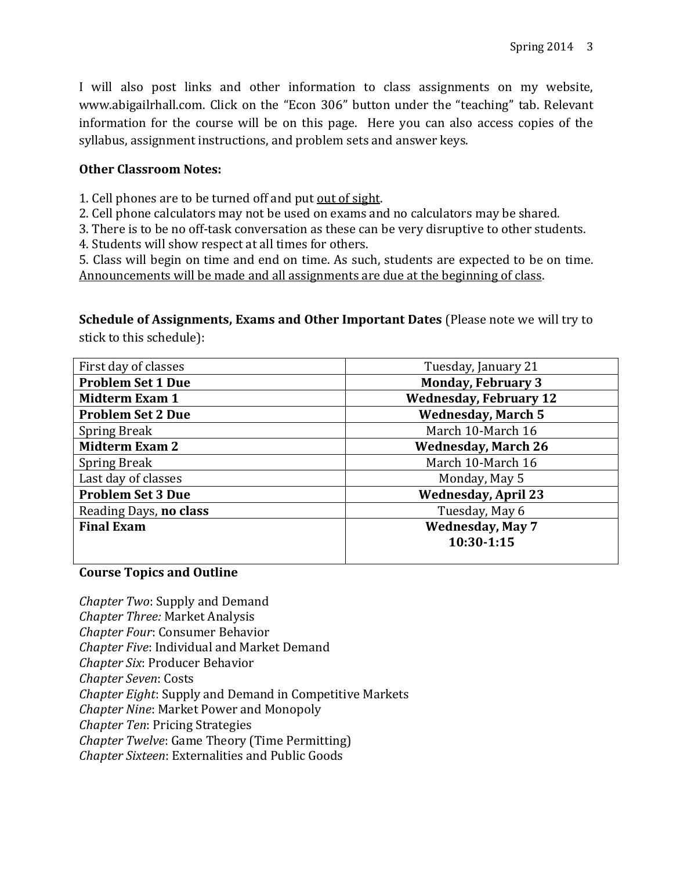I will also post links and other information to class assignments on my website, www.abigailrhall.com. Click on the "Econ 306" button under the "teaching" tab. Relevant information for the course will be on this page. Here you can also access copies of the syllabus, assignment instructions, and problem sets and answer keys.

#### **Other Classroom Notes:**

- 1. Cell phones are to be turned off and put out of sight.
- 2. Cell phone calculators may not be used on exams and no calculators may be shared.
- 3. There is to be no off-task conversation as these can be very disruptive to other students.
- 4. Students will show respect at all times for others.

5. Class will begin on time and end on time. As such, students are expected to be on time. Announcements will be made and all assignments are due at the beginning of class.

**Schedule of Assignments, Exams and Other Important Dates** (Please note we will try to stick to this schedule):

| First day of classes     | Tuesday, January 21           |
|--------------------------|-------------------------------|
| <b>Problem Set 1 Due</b> | <b>Monday, February 3</b>     |
| <b>Midterm Exam 1</b>    | <b>Wednesday, February 12</b> |
| <b>Problem Set 2 Due</b> | <b>Wednesday, March 5</b>     |
| <b>Spring Break</b>      | March 10-March 16             |
| <b>Midterm Exam 2</b>    | <b>Wednesday, March 26</b>    |
| <b>Spring Break</b>      | March 10-March 16             |
| Last day of classes      | Monday, May 5                 |
| <b>Problem Set 3 Due</b> | <b>Wednesday, April 23</b>    |
| Reading Days, no class   | Tuesday, May 6                |
| <b>Final Exam</b>        | <b>Wednesday, May 7</b>       |
|                          | 10:30-1:15                    |
|                          |                               |

## **Course Topics and Outline**

*Chapter Two*: Supply and Demand *Chapter Three:* Market Analysis *Chapter Four*: Consumer Behavior *Chapter Five*: Individual and Market Demand *Chapter Six*: Producer Behavior *Chapter Seven*: Costs *Chapter Eight*: Supply and Demand in Competitive Markets *Chapter Nine*: Market Power and Monopoly *Chapter Ten*: Pricing Strategies *Chapter Twelve*: Game Theory (Time Permitting) *Chapter Sixteen*: Externalities and Public Goods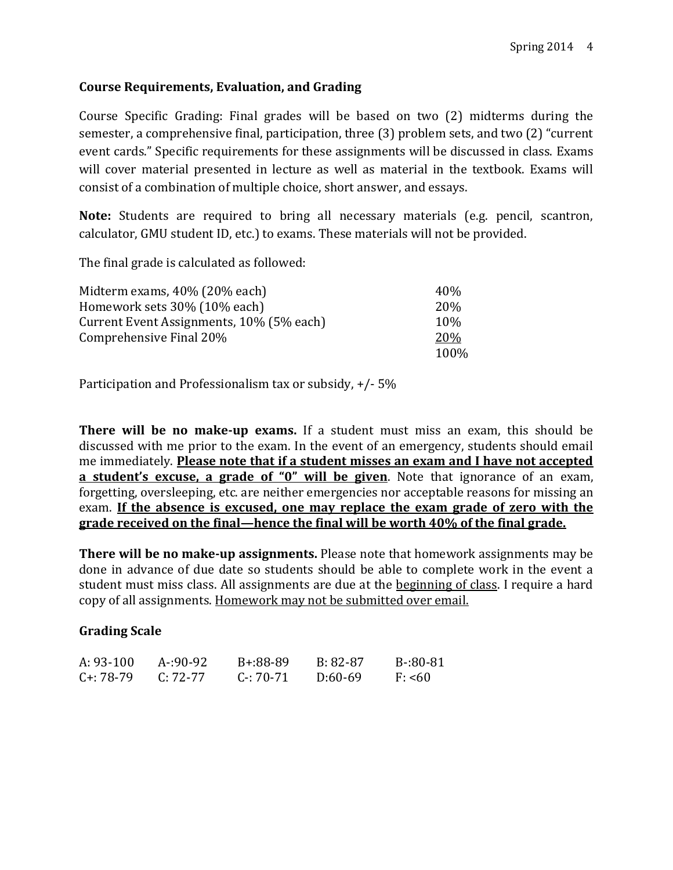## **Course Requirements, Evaluation, and Grading**

Course Specific Grading: Final grades will be based on two (2) midterms during the semester, a comprehensive final, participation, three (3) problem sets, and two (2) "current event cards." Specific requirements for these assignments will be discussed in class. Exams will cover material presented in lecture as well as material in the textbook. Exams will consist of a combination of multiple choice, short answer, and essays.

**Note:** Students are required to bring all necessary materials (e.g. pencil, scantron, calculator, GMU student ID, etc.) to exams. These materials will not be provided.

The final grade is calculated as followed:

| Midterm exams, 40% (20% each)            | 40\%            |
|------------------------------------------|-----------------|
| Homework sets 30% (10% each)             | 20 <sub>%</sub> |
| Current Event Assignments, 10% (5% each) | $10\%$          |
| Comprehensive Final 20%                  | <b>20%</b>      |
|                                          | 100%            |

Participation and Professionalism tax or subsidy, +/- 5%

**There will be no make-up exams.** If a student must miss an exam, this should be discussed with me prior to the exam. In the event of an emergency, students should email me immediately. **Please note that if a student misses an exam and I have not accepted a student's excuse, a grade of "0" will be given**. Note that ignorance of an exam, forgetting, oversleeping, etc. are neither emergencies nor acceptable reasons for missing an exam. **If the absence is excused, one may replace the exam grade of zero with the grade received on the final—hence the final will be worth 40% of the final grade.** 

**There will be no make-up assignments.** Please note that homework assignments may be done in advance of due date so students should be able to complete work in the event a student must miss class. All assignments are due at the beginning of class. I require a hard copy of all assignments. Homework may not be submitted over email.

#### **Grading Scale**

| $A: 93-100$    | $A - 90 - 92$ | B+:88-89      | B: 82-87  | B-:80-81 |
|----------------|---------------|---------------|-----------|----------|
| $C_{1}: 78-79$ | $C: 72-77$    | $C - 70 - 71$ | $D:60-69$ | F: 560   |